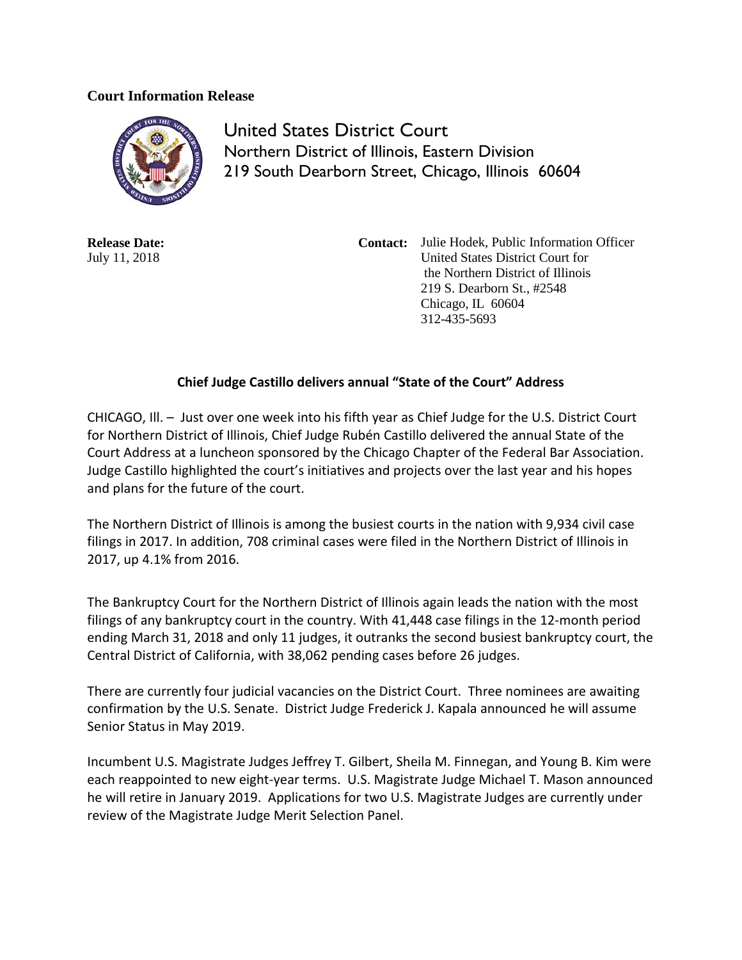## **Court Information Release**



United States District Court Northern District of Illinois, Eastern Division 219 South Dearborn Street, Chicago, Illinois 60604

**Release Date:** July 11, 2018

**Contact:** Julie Hodek, Public Information Officer United States District Court for the Northern District of Illinois 219 S. Dearborn St., #2548 Chicago, IL 60604 312-435-5693

## **Chief Judge Castillo delivers annual "State of the Court" Address**

CHICAGO, Ill. – Just over one week into his fifth year as Chief Judge for the U.S. District Court for Northern District of Illinois, Chief Judge Rubén Castillo delivered the annual State of the Court Address at a luncheon sponsored by the Chicago Chapter of the Federal Bar Association. Judge Castillo highlighted the court's initiatives and projects over the last year and his hopes and plans for the future of the court.

The Northern District of Illinois is among the busiest courts in the nation with 9,934 civil case filings in 2017. In addition, 708 criminal cases were filed in the Northern District of Illinois in 2017, up 4.1% from 2016.

The Bankruptcy Court for the Northern District of Illinois again leads the nation with the most filings of any bankruptcy court in the country. With 41,448 case filings in the 12-month period ending March 31, 2018 and only 11 judges, it outranks the second busiest bankruptcy court, the Central District of California, with 38,062 pending cases before 26 judges.

There are currently four judicial vacancies on the District Court. Three nominees are awaiting confirmation by the U.S. Senate. District Judge Frederick J. Kapala announced he will assume Senior Status in May 2019.

Incumbent U.S. Magistrate Judges Jeffrey T. Gilbert, Sheila M. Finnegan, and Young B. Kim were each reappointed to new eight-year terms. U.S. Magistrate Judge Michael T. Mason announced he will retire in January 2019. Applications for two U.S. Magistrate Judges are currently under review of the Magistrate Judge Merit Selection Panel.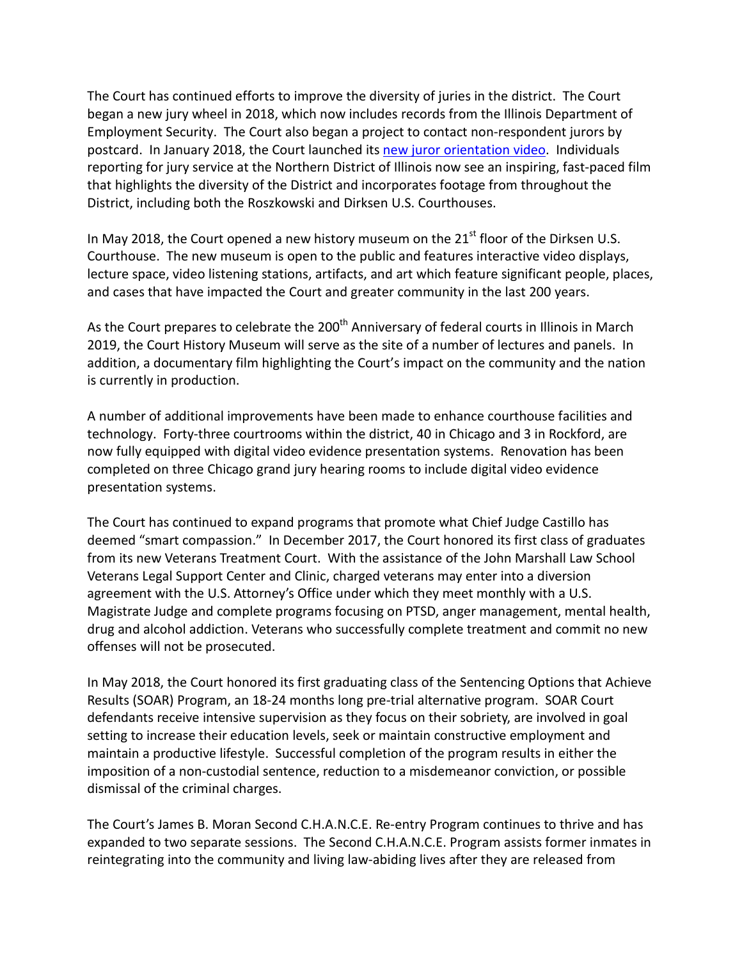The Court has continued efforts to improve the diversity of juries in the district. The Court began a new jury wheel in 2018, which now includes records from the Illinois Department of Employment Security. The Court also began a project to contact non-respondent jurors by postcard. In January 2018, the Court launched its [new juror orientation video.](http://www.ilnd.uscourts.gov/Pages.aspx?page=JuryVideo) Individuals reporting for jury service at the Northern District of Illinois now see an inspiring, fast-paced film that highlights the diversity of the District and incorporates footage from throughout the District, including both the Roszkowski and Dirksen U.S. Courthouses.

In May 2018, the Court opened a new history museum on the  $21<sup>st</sup>$  floor of the Dirksen U.S. Courthouse. The new museum is open to the public and features interactive video displays, lecture space, video listening stations, artifacts, and art which feature significant people, places, and cases that have impacted the Court and greater community in the last 200 years.

As the Court prepares to celebrate the 200<sup>th</sup> Anniversary of federal courts in Illinois in March 2019, the Court History Museum will serve as the site of a number of lectures and panels. In addition, a documentary film highlighting the Court's impact on the community and the nation is currently in production.

A number of additional improvements have been made to enhance courthouse facilities and technology. Forty-three courtrooms within the district, 40 in Chicago and 3 in Rockford, are now fully equipped with digital video evidence presentation systems. Renovation has been completed on three Chicago grand jury hearing rooms to include digital video evidence presentation systems.

The Court has continued to expand programs that promote what Chief Judge Castillo has deemed "smart compassion." In December 2017, the Court honored its first class of graduates from its new Veterans Treatment Court. With the assistance of the John Marshall Law School Veterans Legal Support Center and Clinic, charged veterans may enter into a diversion agreement with the U.S. Attorney's Office under which they meet monthly with a U.S. Magistrate Judge and complete programs focusing on PTSD, anger management, mental health, drug and alcohol addiction. Veterans who successfully complete treatment and commit no new offenses will not be prosecuted.

In May 2018, the Court honored its first graduating class of the Sentencing Options that Achieve Results (SOAR) Program, an 18-24 months long pre-trial alternative program. SOAR Court defendants receive intensive supervision as they focus on their sobriety, are involved in goal setting to increase their education levels, seek or maintain constructive employment and maintain a productive lifestyle. Successful completion of the program results in either the imposition of a non-custodial sentence, reduction to a misdemeanor conviction, or possible dismissal of the criminal charges.

The Court's James B. Moran Second C.H.A.N.C.E. Re-entry Program continues to thrive and has expanded to two separate sessions. The Second C.H.A.N.C.E. Program assists former inmates in reintegrating into the community and living law-abiding lives after they are released from